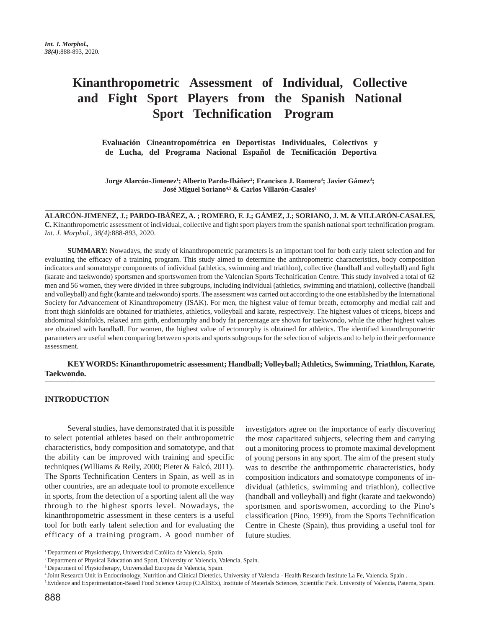# **Kinanthropometric Assessment of Individual, Collective and Fight Sport Players from the Spanish National Sport Technification Program**

 **Evaluación Cineantropométrica en Deportistas Individuales, Colectivos y de Lucha, del Programa Nacional Español de Tecnificación Deportiva** 

 $\bold{Jorge\ Alarcón-Jimenez\textsuperscript{1}}; \text{Alberto} \text{Pardo-Isáñez\textsuperscript{2}}; \text{Francisco}\text{ J.}\text{Romero\textsuperscript{3}}; \text{ Javier Gámez\textsuperscript{3}};$ **José Miguel Soriano4,5 & Carlos Villarón-Casales3**

**ALARCÓN-JIMENEZ, J.; PARDO-IBÁÑEZ, A. ; ROMERO, F. J.; GÁMEZ, J.; SORIANO, J. M. & VILLARÓN-CASALES, C.** Kinanthropometric assessment of individual, collective and fight sport players from the spanish national sport technification program. *Int. J. Morphol., 38(4)*:888-893, 2020.

**SUMMARY:** Nowadays, the study of kinanthropometric parameters is an important tool for both early talent selection and for evaluating the efficacy of a training program. This study aimed to determine the anthropometric characteristics, body composition indicators and somatotype components of individual (athletics, swimming and triathlon), collective (handball and volleyball) and fight (karate and taekwondo) sportsmen and sportswomen from the Valencian Sports Technification Centre. This study involved a total of 62 men and 56 women, they were divided in three subgroups, including individual (athletics, swimming and triathlon), collective (handball and volleyball) and fight (karate and taekwondo) sports. The assessment was carried out according to the one established by the International Society for Advancement of Kinanthropometry (ISAK). For men, the highest value of femur breath, ectomorphy and medial calf and front thigh skinfolds are obtained for triathletes, athletics, volleyball and karate, respectively. The highest values of triceps, biceps and abdominal skinfolds, relaxed arm girth, endomorphy and body fat percentage are shown for taekwondo, while the other highest values are obtained with handball. For women, the highest value of ectomorphy is obtained for athletics. The identified kinanthropometric parameters are useful when comparing between sports and sports subgroups for the selection of subjects and to help in their performance assessment.

**KEY WORDS: Kinanthropometric assessment; Handball; Volleyball; Athletics, Swimming, Triathlon, Karate, Taekwondo.**

## **INTRODUCTION**

Several studies, have demonstrated that it is possible to select potential athletes based on their anthropometric characteristics, body composition and somatotype, and that the ability can be improved with training and specific techniques (Williams & Reily, 2000; Pieter & Falcó, 2011). The Sports Technification Centers in Spain, as well as in other countries, are an adequate tool to promote excellence in sports, from the detection of a sporting talent all the way through to the highest sports level. Nowadays, the kinanthropometric assessment in these centers is a useful tool for both early talent selection and for evaluating the efficacy of a training program. A good number of

investigators agree on the importance of early discovering the most capacitated subjects, selecting them and carrying out a monitoring process to promote maximal development of young persons in any sport. The aim of the present study was to describe the anthropometric characteristics, body composition indicators and somatotype components of individual (athletics, swimming and triathlon), collective (handball and volleyball) and fight (karate and taekwondo) sportsmen and sportswomen, according to the Pino's classification (Pino, 1999), from the Sports Technification Centre in Cheste (Spain), thus providing a useful tool for future studies.

<sup>&</sup>lt;sup>1</sup> Department of Physiotherapy, Universidad Católica de Valencia, Spain.

<sup>2</sup> Department of Physical Education and Sport, University of Valencia, Valencia, Spain.

<sup>3</sup> Department of Physiotherapy, Universidad Europea de Valencia, Spain.

<sup>4</sup> Joint Research Unit in Endocrinology, Nutrition and Clinical Dietetics, University of Valencia - Health Research Institute La Fe, Valencia. Spain .

<sup>5</sup> Evidence and Experimentation-Based Food Science Group (CiAlBEx), Institute of Materials Sciences, Scientific Park. University of Valencia, Paterna, Spain.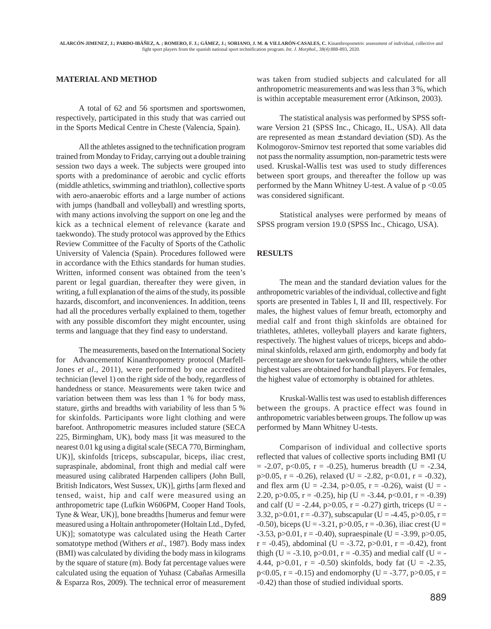## **MATERIAL AND METHOD**

A total of 62 and 56 sportsmen and sportswomen, respectively, participated in this study that was carried out in the Sports Medical Centre in Cheste (Valencia, Spain).

All the athletes assigned to the technification program trained from Monday to Friday, carrying out a double training session two days a week. The subjects were grouped into sports with a predominance of aerobic and cyclic efforts (middle athletics, swimming and triathlon), collective sports with aero-anaerobic efforts and a large number of actions with jumps (handball and volleyball) and wrestling sports, with many actions involving the support on one leg and the kick as a technical element of relevance (karate and taekwondo). The study protocol was approved by the Ethics Review Committee of the Faculty of Sports of the Catholic University of Valencia (Spain). Procedures followed were in accordance with the Ethics standards for human studies. Written, informed consent was obtained from the teen's parent or legal guardian, thereafter they were given, in writing, a full explanation of the aims of the study, its possible hazards, discomfort, and inconveniences. In addition, teens had all the procedures verbally explained to them, together with any possible discomfort they might encounter, using terms and language that they find easy to understand.

The measurements, based on the International Society for Advancementof Kinanthropometry protocol (Marfell-Jones *et al*., 2011), were performed by one accredited technician (level 1) on the right side of the body, regardless of handedness or stance. Measurements were taken twice and variation between them was less than 1 % for body mass, stature, girths and breadths with variability of less than 5 % for skinfolds. Participants wore light clothing and were barefoot. Anthropometric measures included stature (SECA 225, Birmingham, UK), body mass [it was measured to the nearest 0.01 kg using a digital scale (SECA 770, Birmingham, UK)], skinfolds [triceps, subscapular, biceps, iliac crest, supraspinale, abdominal, front thigh and medial calf were measured using calibrated Harpenden callipers (John Bull, British Indicators, West Sussex, UK)], girths [arm flexed and tensed, waist, hip and calf were measured using an anthropometric tape (Lufkin W606PM, Cooper Hand Tools, Tyne & Wear, UK)], bone breadths [humerus and femur were measured using a Holtain anthropometer (Holtain Ltd., Dyfed, UK)]; somatotype was calculated using the Heath Carter somatotype method (Withers *et al*., 1987). Body mass index (BMI) was calculated by dividing the body mass in kilograms by the square of stature (m). Body fat percentage values were calculated using the equation of Yuhasz (Cabañas Armesilla & Esparza Ros, 2009). The technical error of measurement

was taken from studied subjects and calculated for all anthropometric measurements and was less than 3 %, which is within acceptable measurement error (Atkinson, 2003).

The statistical analysis was performed by SPSS software Version 21 (SPSS Inc., Chicago, IL, USA). All data are represented as mean  $\pm$  standard deviation (SD). As the Kolmogorov-Smirnov test reported that some variables did not pass the normality assumption, non-parametric tests were used. Kruskal-Wallis test was used to study differences between sport groups, and thereafter the follow up was performed by the Mann Whitney U-test. A value of  $p < 0.05$ was considered significant.

Statistical analyses were performed by means of SPSS program version 19.0 (SPSS Inc., Chicago, USA).

### **RESULTS**

The mean and the standard deviation values for the anthropometric variables of the individual, collective and fight sports are presented in Tables I, II and III, respectively. For males, the highest values of femur breath, ectomorphy and medial calf and front thigh skinfolds are obtained for triathletes, athletes, volleyball players and karate fighters, respectively. The highest values of triceps, biceps and abdominal skinfolds, relaxed arm girth, endomorphy and body fat percentage are shown for taekwondo fighters, while the other highest values are obtained for handball players. For females, the highest value of ectomorphy is obtained for athletes.

Kruskal-Wallis test was used to establish differences between the groups. A practice effect was found in anthropometric variables between groups. The follow up was performed by Mann Whitney U-tests.

Comparison of individual and collective sports reflected that values of collective sports including BMI (U  $= -2.07$ , p<0.05, r = -0.25), humerus breadth (U = -2.34, p $>0.05$ , r = -0.26), relaxed (U = -2.82, p $< 0.01$ , r = -0.32), and flex arm (U = -2.34, p $> 0.05$ , r = -0.26), waist (U = -2.20, p $>0.05$ , r = -0.25), hip (U = -3.44, p $<0.01$ , r = -0.39) and calf (U = -2.44, p $> 0.05$ , r = -0.27) girth, triceps (U = -3.32, p>0.01, r = -0.37), subscapular (U = -4.45, p>0.05, r =  $-0.50$ ), biceps (U =  $-3.21$ , p $>0.05$ , r =  $-0.36$ ), iliac crest (U =  $-3.53$ , p $>0.01$ , r =  $-0.40$ ), supraespinale (U =  $-3.99$ , p $>0.05$ ,  $r = -0.45$ ), abdominal (U = -3.72, p $> 0.01$ ,  $r = -0.42$ ), front thigh (U = -3.10, p>0.01, r = -0.35) and medial calf (U = -4.44, p $>0.01$ , r = -0.50) skinfolds, body fat (U = -2.35,  $p<0.05$ ,  $r = -0.15$ ) and endomorphy (U = -3.77, p $>0.05$ ,  $r =$ -0.42) than those of studied individual sports.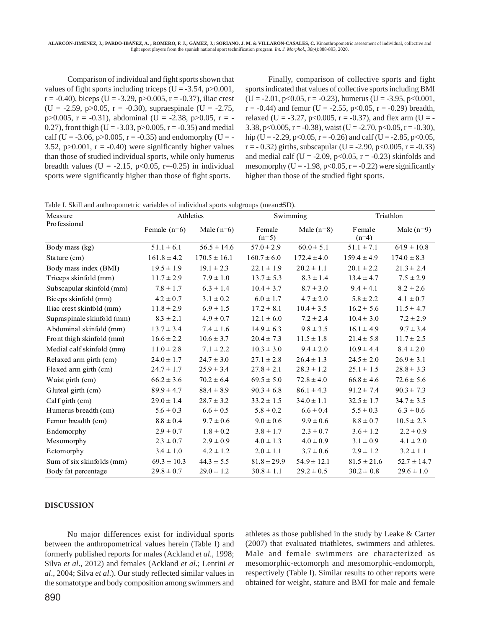Comparison of individual and fight sports shown that values of fight sports including triceps ( $U = -3.54$ , p $>0.001$ ,  $r = -0.40$ ), biceps (U =  $-3.29$ , p $> 0.005$ , r =  $-0.37$ ), iliac crest  $(U = -2.59, p > 0.05, r = -0.30)$ , supraespinale  $(U = -2.75,$ p>0.005, r = -0.31), abdominal (U = -2.38, p>0.05, r = -0.27), front thigh (U = -3.03, p $>$ 0.005, r = -0.35) and medial calf (U = -3.06, p $> 0.005$ , r = -0.35) and endomorphy (U = -3.52, p $>0.001$ , r = -0.40) were significantly higher values than those of studied individual sports, while only humerus breadth values (U = -2.15, p<0.05, r=-0.25) in individual sports were significantly higher than those of fight sports.

Finally, comparison of collective sports and fight sports indicated that values of collective sports including BMI  $(U = -2.01, p<0.05, r = -0.23)$ , humerus  $(U = -3.95, p<0.001,$  $r = -0.44$ ) and femur (U = -2.55, p<0.05, r = -0.29) breadth, relaxed (U = -3.27, p<0.005, r = -0.37), and flex arm (U = -3.38, p<0.005, r = -0.38), waist (U = -2.70, p<0.05, r = -0.30), hip (U = -2.29, p<0.05, r = -0.26) and calf (U = -2.85, p<0.05,  $r = -0.32$ ) girths, subscapular (U = -2.90, p<0.005, r = -0.33) and medial calf (U = -2.09, p<0.05, r = -0.23) skinfolds and mesomorphy (U =  $-1.98$ , p<0.05, r =  $-0.22$ ) were significantly higher than those of the studied fight sports.

Table I. Skill and anthropometric variables of individual sports subgroups (mean±SD).

| Measure<br>Professional    | Athletics       |                  | Swimming          |                 | Triathlon                  |                 |
|----------------------------|-----------------|------------------|-------------------|-----------------|----------------------------|-----------------|
|                            | Female $(n=6)$  | Male $(n=6)$     | Female<br>$(n=5)$ | Male $(n=8)$    | <b>F</b> emal e<br>$(n=4)$ | Male $(n=9)$    |
| Body mass (kg)             | $51.1 \pm 6.1$  | $56.5 \pm 14.6$  | $57.0 \pm 2.9$    | $60.0 \pm 5.1$  | $51.1 \pm 7.1$             | $64.9 \pm 10.8$ |
| Stature (cm)               | $161.8 \pm 4.2$ | $170.5 \pm 16.1$ | $160.7 \pm 6.0$   | $172.4 \pm 4.0$ | $159.4 \pm 4.9$            | $174.0 \pm 8.3$ |
| Body mass index (BMI)      | $19.5 \pm 1.9$  | $19.1 \pm 2.3$   | $22.1 \pm 1.9$    | $20.2 \pm 1.1$  | $20.1 \pm 2.2$             | $21.3 \pm 2.4$  |
| Triceps skinfold (mm)      | $11.7 \pm 2.9$  | $7.9 \pm 1.0$    | $13.7 \pm 5.3$    | $8.3 \pm 1.4$   | $13.4 \pm 4.7$             | $7.5 \pm 2.9$   |
| Subscapular skinfold (mm)  | $7.8 \pm 1.7$   | $6.3 \pm 1.4$    | $10.4 \pm 3.7$    | $8.7 \pm 3.0$   | $9.4 \pm 4.1$              | $8.2 \pm 2.6$   |
| Biceps skinfold (mm)       | $4.2 \pm 0.7$   | $3.1 \pm 0.2$    | $6.0 \pm 1.7$     | $4.7 \pm 2.0$   | $5.8 \pm 2.2$              | $4.1 \pm 0.7$   |
| Iliac crest skinfold (mm)  | $11.8 \pm 2.9$  | $6.9 \pm 1.5$    | $17.2 \pm 8.1$    | $10.4 \pm 3.5$  | $16.2 \pm 5.6$             | $11.5 \pm 4.7$  |
| Supraspinale skinfold (mm) | $8.3 \pm 2.1$   | $4.9 \pm 0.7$    | $12.1 \pm 6.0$    | $7.2 \pm 2.4$   | $10.4 \pm 3.0$             | $7.2 \pm 2.9$   |
| Abdominal skinfold (mm)    | $13.7 \pm 3.4$  | $7.4 \pm 1.6$    | $14.9 \pm 6.3$    | $9.8 \pm 3.5$   | $16.1 \pm 4.9$             | $9.7 \pm 3.4$   |
| Front thigh skinfold (mm)  | $16.6 \pm 2.2$  | $10.6 \pm 3.7$   | $20.4 \pm 7.3$    | $11.5 \pm 1.8$  | $21.4 \pm 5.8$             | $11.7 \pm 2.5$  |
| Medial calf skinfold (mm)  | $11.0 \pm 2.8$  | $7.1 \pm 2.2$    | $10.3 \pm 3.0$    | $9.4 \pm 2.0$   | $10.9 \pm 4.4$             | $8.4 \pm 2.0$   |
| Relaxed arm girth (cm)     | $24.0 \pm 1.7$  | $24.7 \pm 3.0$   | $27.1 \pm 2.8$    | $26.4 \pm 1.3$  | $24.5 \pm 2.0$             | $26.9 \pm 3.1$  |
| Flexed arm girth (cm)      | $24.7 \pm 1.7$  | $25.9 \pm 3.4$   | $27.8 \pm 2.1$    | $28.3 \pm 1.2$  | $25.1 \pm 1.5$             | $28.8 \pm 3.3$  |
| Waist girth (cm)           | $66.2 \pm 3.6$  | $70.2 \pm 6.4$   | $69.5 \pm 5.0$    | $72.8 \pm 4.0$  | $66.8 \pm 4.6$             | $72.6 \pm 5.6$  |
| Gluteal girth (cm)         | $89.9 \pm 4.7$  | $88.4 \pm 8.9$   | $90.3 \pm 6.8$    | $86.1 \pm 4.3$  | $91.2 \pm 7.4$             | $90.3 \pm 7.3$  |
| Calf girth (cm)            | $29.0 \pm 1.4$  | $28.7 \pm 3.2$   | $33.2 \pm 1.5$    | $34.0 \pm 1.1$  | $32.5 \pm 1.7$             | $34.7 \pm 3.5$  |
| Humerus breadth (cm)       | $5.6 \pm 0.3$   | $6.6 \pm 0.5$    | $5.8 \pm 0.2$     | $6.6 \pm 0.4$   | $5.5 \pm 0.3$              | $6.3 \pm 0.6$   |
| Femur breadth (cm)         | $8.8 \pm 0.4$   | $9.7 \pm 0.6$    | $9.0 \pm 0.6$     | $9.9 \pm 0.6$   | $8.8 \pm 0.7$              | $10.5 \pm 2.3$  |
| Endomorphy                 | $2.9 \pm 0.7$   | $1.8 \pm 0.2$    | $3.8 \pm 1.7$     | $2.3 \pm 0.7$   | $3.6 \pm 1.2$              | $2.2 \pm 0.9$   |
| Mesomorphy                 | $2.3 \pm 0.7$   | $2.9 \pm 0.9$    | $4.0 \pm 1.3$     | $4.0 \pm 0.9$   | $3.1 \pm 0.9$              | $4.1 \pm 2.0$   |
| Ectomorphy                 | $3.4 \pm 1.0$   | $4.2 \pm 1.2$    | $2.0 \pm 1.1$     | $3.7 \pm 0.6$   | $2.9 \pm 1.2$              | $3.2 \pm 1.1$   |
| Sum of six skinfolds (mm)  | $69.3 \pm 10.3$ | $44.3 \pm 5.5$   | $81.8 \pm 29.9$   | $54.9 \pm 12.1$ | $81.5 \pm 21.6$            | $52.7 \pm 14.7$ |
| Body fat percentage        | $29.8 \pm 0.7$  | $29.0 \pm 1.2$   | $30.8 \pm 1.1$    | $29.2 \pm 0.5$  | $30.2 \pm 0.8$             | $29.6 \pm 1.0$  |

#### **DISCUSSION**

No major differences exist for individual sports between the anthropometrical values herein (Table I) and formerly published reports for males (Ackland *et al*., 1998; Silva *et al*., 2012) and females (Ackland *et al*.; Lentini *et al*., 2004; Silva *et al*.). Our study reflected similar values in the somatotype and body composition among swimmers and

athletes as those published in the study by Leake & Carter (2007) that evaluated triathletes, swimmers and athletes. Male and female swimmers are characterized as mesomorphic-ectomorph and mesomorphic-endomorph, respectively (Table I). Similar results to other reports were obtained for weight, stature and BMI for male and female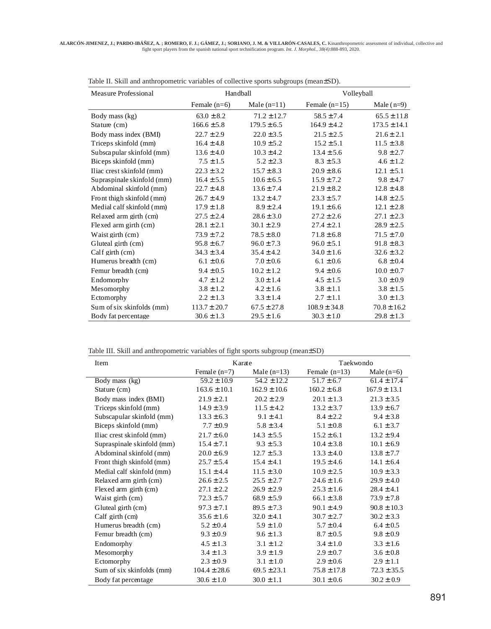| Measure Professional       | Handball         |                 | Volleyball       |                  |  |
|----------------------------|------------------|-----------------|------------------|------------------|--|
|                            | Female $(n=6)$   | Male $(n=11)$   | Female $(n=15)$  | Male $(n=9)$     |  |
| Body mass (kg)             | $63.0 \pm 8.2$   | $71.2 \pm 12.7$ | $58.5 \pm 7.4$   | $65.5 \pm 11.8$  |  |
| Stature (cm)               | $166.6 \pm 5.8$  | $179.5 \pm 6.5$ | $164.9 \pm 4.2$  | $173.5 \pm 14.1$ |  |
| Body mass index (BMI)      | $22.7 \pm 2.9$   | $22.0 \pm 3.5$  | $21.5 \pm 2.5$   | $21.6 \pm 2.1$   |  |
| Triceps skinfold (mm)      | $16.4 \pm 4.8$   | $10.9 \pm 5.2$  | $15.2 \pm 5.1$   | $11.5 \pm 3.8$   |  |
| Subscapular skinfold (mm)  | $13.6 \pm 4.0$   | $10.3 \pm 4.2$  | $13.4 \pm 5.6$   | $9.8 \pm 2.7$    |  |
| Biceps skinfold (mm)       | $7.5 \pm 1.5$    | $5.2 \pm 2.3$   | $8.3 \pm 5.3$    | $4.6 \pm 1.2$    |  |
| Iliac crest skinfold (mm)  | $22.3 \pm 3.2$   | $15.7 \pm 8.3$  | $20.9 \pm 8.6$   | $12.1 \pm 5.1$   |  |
| Supraspinale skinfold (mm) | $16.4 \pm 5.5$   | $10.6 \pm 6.5$  | $15.9 \pm 7.2$   | $9.8 \pm 4.7$    |  |
| Abdominal skinfold (mm)    | $22.7 \pm 4.8$   | $13.6 \pm 7.4$  | $21.9 \pm 8.2$   | $12.8 \pm 4.8$   |  |
| Front thigh skinfold (mm)  | $26.7 \pm 4.9$   | $13.2 \pm 4.7$  | $23.3 \pm 5.7$   | $14.8 \pm 2.5$   |  |
| Medial calf skinfold (mm)  | $17.9 \pm 1.8$   | $8.9 \pm 2.4$   | $19.1 \pm 6.6$   | $12.1 \pm 2.8$   |  |
| Relaxed arm girth (cm)     | $27.5 \pm 2.4$   | $28.6 \pm 3.0$  | $27.2 \pm 2.6$   | $27.1 \pm 2.3$   |  |
| Flexed arm girth (cm)      | $28.1 \pm 2.1$   | $30.1 \pm 2.9$  | $27.4 \pm 2.1$   | $28.9 \pm 2.5$   |  |
| Waist girth (cm)           | $73.9 \pm 7.2$   | $78.5 \pm 8.0$  | $71.8 \pm 6.8$   | $71.5 \pm 7.0$   |  |
| Gluteal girth (cm)         | $95.8 \pm 6.7$   | $96.0 \pm 7.3$  | $96.0 \pm 5.1$   | $91.8 \pm 8.3$   |  |
| Calf girth $(cm)$          | $34.3 \pm 3.4$   | $35.4 \pm 4.2$  | $34.0 \pm 1.6$   | $32.6 \pm 3.2$   |  |
| Humerus breadth (cm)       | $6.1 \pm 0.6$    | $7.0 \pm 0.6$   | $6.1 \pm 0.6$    | $6.8 \pm 0.4$    |  |
| Femur breadth (cm)         | $9.4 \pm 0.5$    | $10.2 \pm 1.2$  | $9.4 \pm 0.6$    | $10.0 \pm 0.7$   |  |
| Endomorphy                 | $4.7 \pm 1.2$    | $3.0 \pm 1.4$   | $4.5 \pm 1.5$    | $3.0 \pm 0.9$    |  |
| Mesomorphy                 | $3.8 \pm 1.2$    | $4.2 \pm 1.6$   | $3.8 \pm 1.1$    | $3.8 \pm 1.5$    |  |
| Ectomorphy                 | $2.2 \pm 1.3$    | $3.3 \pm 1.4$   | $2.7 \pm 1.1$    | $3.0 \pm 1.3$    |  |
| Sum of six skinfolds (mm)  | $113.7 \pm 20.7$ | $67.5 \pm 27.8$ | $108.9 \pm 34.8$ | $70.8 \pm 16.2$  |  |
| Body fat percentage        | $30.6 \pm 1.3$   | $29.5 \pm 1.6$  | $30.3 \pm 1.0$   | $29.8 \pm 1.3$   |  |

Table II. Skill and anthropometric variables of collective sports subgroups (mean±SD).

Table III. Skill and anthropometric variables of fight sports subgroup (mean±SD)

| Item                       | Karate           |                  | Taekwondo       |                  |  |
|----------------------------|------------------|------------------|-----------------|------------------|--|
|                            | Female $(n=7)$   | Male $(n=13)$    | Female $(n=13)$ | Male $(n=6)$     |  |
| Body mass (kg)             | $59.2 \pm 10.9$  | $54.2 \pm 12.2$  | $51.7 \pm 6.7$  | $61.4 \pm 17.4$  |  |
| Stature (cm)               | $163.6 \pm 10.1$ | $162.9 \pm 10.6$ | $160.2 \pm 6.8$ | $167.9 \pm 13.1$ |  |
| Body mass index (BMI)      | $21.9 \pm 2.1$   | $20.2 \pm 2.9$   | $20.1 \pm 1.3$  | $21.3 \pm 3.5$   |  |
| Triceps skinfold (mm)      | $14.9 \pm 3.9$   | $11.5 \pm 4.2$   | $13.2 \pm 3.7$  | $13.9 \pm 6.7$   |  |
| Subscapular skinfold (mm)  | $13.3 \pm 6.3$   | $9.1 \pm 4.1$    | $8.4 \pm 2.2$   | $9.4 \pm 3.8$    |  |
| Biceps skinfold (mm)       | $7.7 \pm 0.9$    | $5.8 \pm 3.4$    | $5.1 \pm 0.8$   | $6.1 \pm 3.7$    |  |
| Iliac crest skinfold (mm)  | $21.7 \pm 6.0$   | $14.3 \pm 5.5$   | $15.2 \pm 6.1$  | $13.2 \pm 9.4$   |  |
| Supraspinale skinfold (mm) | $15.4 \pm 7.1$   | $9.3 \pm 5.3$    | $10.4 \pm 3.8$  | $10.1 \pm 6.9$   |  |
| Abdominal skinfold (mm)    | $20.0 \pm 6.9$   | $12.7 \pm 5.3$   | $13.3 \pm 4.0$  | $13.8 \pm 7.7$   |  |
| Front thigh skinfold (mm)  | $25.7 \pm 5.4$   | $15.4 \pm 4.1$   | $19.5 \pm 4.6$  | $14.1 \pm 6.4$   |  |
| Medial calf skinfold (mm)  | $15.1 \pm 4.4$   | $11.5 \pm 3.0$   | $10.9 \pm 2.5$  | $10.9 \pm 3.3$   |  |
| Relaxed arm girth (cm)     | $26.6 \pm 2.5$   | $25.5 \pm 2.7$   | $24.6 \pm 1.6$  | $29.9 \pm 4.0$   |  |
| Flexed arm girth (cm)      | $27.1 \pm 2.2$   | $26.9 \pm 2.9$   | $25.3 \pm 1.6$  | $28.4 \pm 4.1$   |  |
| Waist girth (cm)           | $72.3 \pm 5.7$   | $68.9 \pm 5.9$   | $66.1 \pm 3.8$  | $73.9 \pm 7.8$   |  |
| Gluteal girth (cm)         | $97.3 \pm 7.1$   | $89.5 \pm 7.3$   | $90.1 \pm 4.9$  | $90.8 \pm 10.3$  |  |
| Calf girth (cm)            | $35.6 \pm 1.6$   | $32.0 \pm 4.1$   | $30.7 \pm 2.7$  | $30.2 \pm 3.3$   |  |
| Humerus breadth (cm)       | $5.2 \pm 0.4$    | $5.9 \pm 1.0$    | $5.7 \pm 0.4$   | $6.4 \pm 0.5$    |  |
| Femur breadth (cm)         | $9.3 \pm 0.9$    | $9.6 \pm 1.3$    | $8.7 \pm 0.5$   | $9.8 \pm 0.9$    |  |
| Endomorphy                 | $4.5 \pm 1.3$    | $3.1 \pm 1.2$    | $3.4 \pm 1.0$   | $3.3 \pm 1.6$    |  |
| Mesomorphy                 | $3.4 \pm 1.3$    | $3.9 \pm 1.9$    | $2.9 \pm 0.7$   | $3.6 \pm 0.8$    |  |
| Ectomorphy                 | $2.3 \pm 0.9$    | $3.1 \pm 1.0$    | $2.9 \pm 0.6$   | $2.9 \pm 1.1$    |  |
| Sum of six skinfolds (mm)  | $104.4 \pm 28.6$ | $69.5 \pm 23.1$  | $75.8 \pm 17.8$ | $72.3 \pm 35.5$  |  |
| Body fat percentage        | $30.6 \pm 1.0$   | $30.0 \pm 1.1$   | $30.1 \pm 0.6$  | $30.2 \pm 0.9$   |  |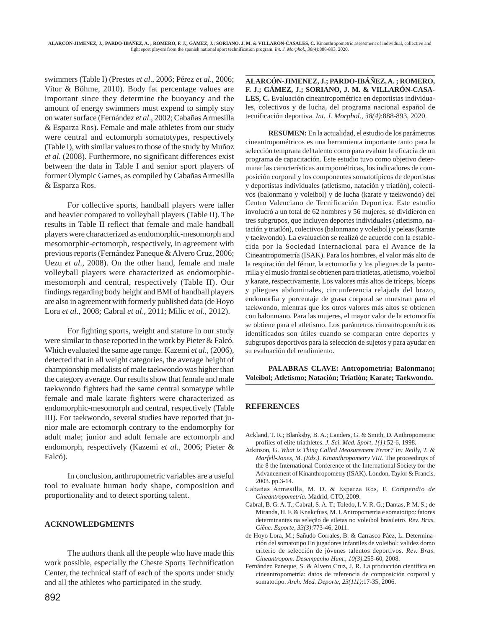swimmers (Table I) (Prestes *et al*., 2006; Pérez *et al*., 2006; Vitor & Böhme, 2010). Body fat percentage values are important since they determine the buoyancy and the amount of energy swimmers must expend to simply stay on water surface (Fernández *et al*., 2002; Cabañas Armesilla & Esparza Ros). Female and male athletes from our study were central and ectomorph somatotypes, respectively (Table I), with similar values to those of the study by Muñoz *et al*. (2008). Furthermore, no significant differences exist between the data in Table I and senior sport players of former Olympic Games, as compiled by Cabañas Armesilla & Esparza Ros.

For collective sports, handball players were taller and heavier compared to volleyball players (Table II). The results in Table II reflect that female and male handball players were characterized as endomorphic-mesomorph and mesomorphic-ectomorph, respectively, in agreement with previous reports (Fernández Paneque & Alvero Cruz, 2006; Uezu *et al*., 2008). On the other hand, female and male volleyball players were characterized as endomorphicmesomorph and central, respectively (Table II). Our findings regarding body height and BMI of handball players are also in agreement with formerly published data (de Hoyo Lora *et al*., 2008; Cabral *et al*., 2011; Milic *et al*., 2012).

For fighting sports, weight and stature in our study were similar to those reported in the work by Pieter & Falcó. Which evaluated the same age range. Kazemi *et al*., (2006), detected that in all weight categories, the average height of championship medalists of male taekwondo was higher than the category average. Our results show that female and male taekwondo fighters had the same central somatype while female and male karate fighters were characterized as endomorphic-mesomorph and central, respectively (Table III). For taekwondo, several studies have reported that junior male are ectomorph contrary to the endomorphy for adult male; junior and adult female are ectomorph and endomorph, respectively (Kazemi *et al*., 2006; Pieter & Falcó).

In conclusion, anthropometric variables are a useful tool to evaluate human body shape, composition and proportionality and to detect sporting talent.

## **ACKNOWLEDGMENTS**

The authors thank all the people who have made this work possible, especially the Cheste Sports Technification Center, the technical staff of each of the sports under study and all the athletes who participated in the study.

**ALARCÓN-JIMENEZ, J.; PARDO-IBÁÑEZ, A. ; ROMERO, F. J.; GÁMEZ, J.; SORIANO, J. M. & VILLARÓN-CASA-LES, C.** Evaluación cineantropométrica en deportistas individuales, colectivos y de lucha, del programa nacional español de tecnificación deportiva. *Int. J. Morphol., 38(4)*:888-893, 2020.

**RESUMEN:** En la actualidad, el estudio de los parámetros cineantropométricos es una herramienta importante tanto para la selección temprana del talento como para evaluar la eficacia de un programa de capacitación. Este estudio tuvo como objetivo determinar las características antropométricas, los indicadores de composición corporal y los componentes somatotípicos de deportistas y deportistas individuales (atletismo, natación y triatlón), colectivos (balonmano y voleibol) y de lucha (karate y taekwondo) del Centro Valenciano de Tecnificación Deportiva. Este estudio involucró a un total de 62 hombres y 56 mujeres, se dividieron en tres subgrupos, que incluyen deportes individuales (atletismo, natación y triatlón), colectivos (balonmano y voleibol) y peleas (karate y taekwondo). La evaluación se realizó de acuerdo con la establecida por la Sociedad Internacional para el Avance de la Cineantropometría (ISAK). Para los hombres, el valor más alto de la respiración del fémur, la ectomorfia y los pliegues de la pantorrilla y el muslo frontal se obtienen para triatletas, atletismo, voleibol y karate, respectivamente. Los valores más altos de tríceps, bíceps y pliegues abdominales, circunferencia relajada del brazo, endomorfia y porcentaje de grasa corporal se muestran para el taekwondo, mientras que los otros valores más altos se obtienen con balonmano. Para las mujeres, el mayor valor de la ectomorfía se obtiene para el atletismo. Los parámetros cineantropométricos identificados son útiles cuando se comparan entre deportes y subgrupos deportivos para la selección de sujetos y para ayudar en su evaluación del rendimiento.

**PALABRAS CLAVE: Antropometría; Balonmano; Voleibol; Atletismo; Natación; Triatlón; Karate; Taekwondo.**

## **REFERENCES**

- Ackland, T. R.; Blanksby, B. A.; Landers, G. & Smith, D. Anthropometric profiles of elite triathletes. *J. Sci. Med. Sport, 1(1)*:52-6, 1998.
- Atkinson, G. *What is Thing Called Measurement Error? In: Reilly, T. & Marfell-Jones, M. (Eds.). Kinanthropometry VIII.* The proceedings of the 8 the International Conference of the International Society for the Advancement of Kinanthropometry (ISAK). London, Taylor & Francis, 2003. pp.3-14.
- Cabañas Armesilla, M. D. & Esparza Ros, F. *Compendio de Cineantropometría.* Madrid, CTO, 2009.
- Cabral, B. G. A. T.; Cabral, S. A. T.; Toledo, I. V. R. G.; Dantas, P. M. S.; de Miranda, H. F. & Knakcfuss, M. I. Antropometria e somatotipo: fatores determinantes na seleção de atletas no voleibol brasileiro. *Rev. Bras. Ciênc. Esporte, 33(3)*:773-46, 2011.
- de Hoyo Lora, M.; Sañudo Corrales, B. & Carrasco Páez, L. Determinación del somatotipo En jugadores infantiles de voleibol: validez domo criterio de selección de jóvenes talentos deportivos. *Rev. Bras. Cineantropom. Desempenho Hum., 10(3)*:255-60, 2008.
- Fernández Paneque, S. & Alvero Cruz, J. R. La producción científica en cineantropometría: datos de referencia de composición corporal y somatotipo. *Arch. Med. Deporte, 23(111)*:17-35, 2006.